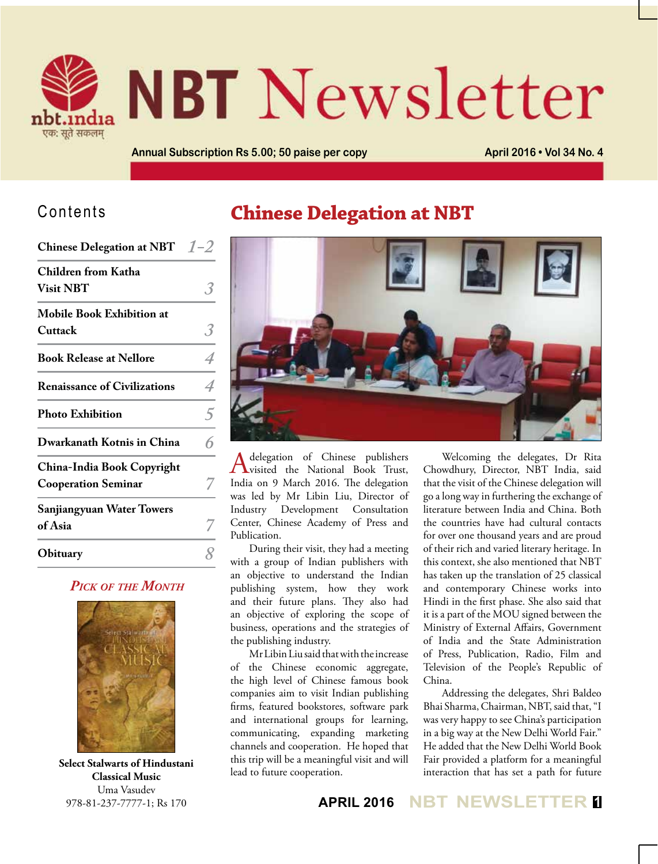

# **NBT** Newsletter

**Annual Subscription Rs 5.00; 50 paise per copy <b>April 2016 • Vol 34 No. 4** 

#### Contents

| <b>Chinese Delegation at NBT</b>                         | $1 - 2$ |
|----------------------------------------------------------|---------|
| Children from Katha<br><b>Visit NBT</b>                  |         |
| <b>Mobile Book Exhibition at</b><br>Cuttack              |         |
| <b>Book Release at Nellore</b>                           |         |
| <b>Renaissance of Civilizations</b>                      |         |
| <b>Photo Exhibition</b>                                  | 5       |
| Dwarkanath Kotnis in China                               |         |
| China-India Book Copyright<br><b>Cooperation Seminar</b> |         |
| <b>Sanjiangyuan Water Towers</b><br>of Asia              |         |
| Obituary                                                 |         |

#### *Pick of the Month*



**Select Stalwarts of Hindustani Classical Music** Uma Vasudev 978-81-237-7777-1; Rs 170

# **Chinese Delegation at NBT**



A delegation of Chinese publishers<br>
Visited the National Book Trust, India on 9 March 2016. The delegation was led by Mr Libin Liu, Director of Industry Development Consultation Center, Chinese Academy of Press and Publication.

During their visit, they had a meeting with a group of Indian publishers with an objective to understand the Indian publishing system, how they work and their future plans. They also had an objective of exploring the scope of business, operations and the strategies of the publishing industry.

Mr Libin Liu said that with the increase of the Chinese economic aggregate, the high level of Chinese famous book companies aim to visit Indian publishing firms, featured bookstores, software park and international groups for learning, communicating, expanding marketing channels and cooperation. He hoped that this trip will be a meaningful visit and will lead to future cooperation.

Welcoming the delegates, Dr Rita Chowdhury, Director, NBT India, said that the visit of the Chinese delegation will go a long way in furthering the exchange of literature between India and China. Both the countries have had cultural contacts for over one thousand years and are proud of their rich and varied literary heritage. In this context, she also mentioned that NBT has taken up the translation of 25 classical and contemporary Chinese works into Hindi in the first phase. She also said that it is a part of the MOU signed between the Ministry of External Affairs, Government of India and the State Administration of Press, Publication, Radio, Film and Television of the People's Republic of China.

Addressing the delegates, Shri Baldeo Bhai Sharma, Chairman, NBT, said that, "I was very happy to see China's participation in a big way at the New Delhi World Fair." He added that the New Delhi World Book Fair provided a platform for a meaningful interaction that has set a path for future

**APRIL 2016 NBT NEWSLETTER <sup>1</sup>**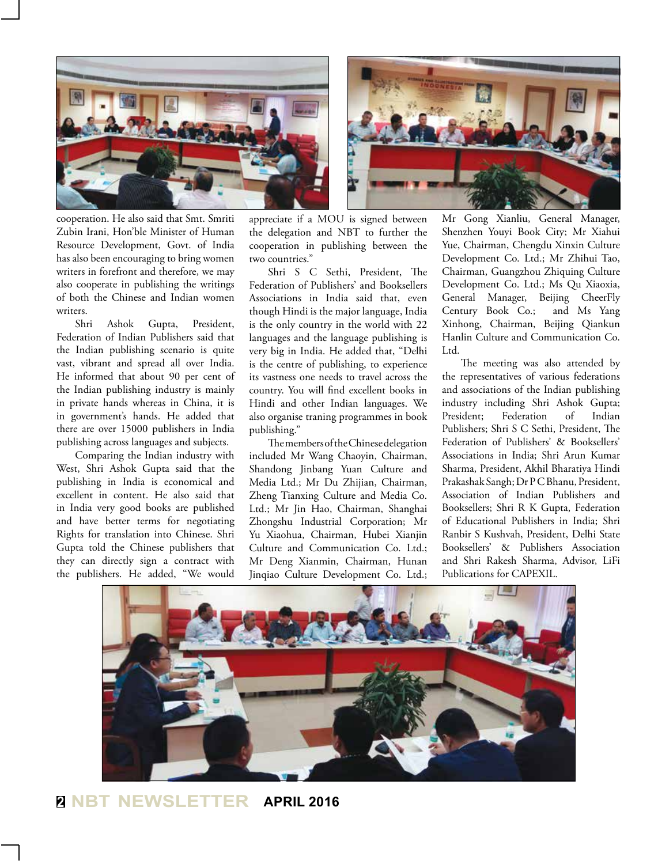

cooperation. He also said that Smt. Smriti Zubin Irani, Hon'ble Minister of Human Resource Development, Govt. of India has also been encouraging to bring women writers in forefront and therefore, we may also cooperate in publishing the writings of both the Chinese and Indian women writers.

Shri Ashok Gupta, President, Federation of Indian Publishers said that the Indian publishing scenario is quite vast, vibrant and spread all over India. He informed that about 90 per cent of the Indian publishing industry is mainly in private hands whereas in China, it is in government's hands. He added that there are over 15000 publishers in India publishing across languages and subjects.

Comparing the Indian industry with West, Shri Ashok Gupta said that the publishing in India is economical and excellent in content. He also said that in India very good books are published and have better terms for negotiating Rights for translation into Chinese. Shri Gupta told the Chinese publishers that they can directly sign a contract with the publishers. He added, "We would appreciate if a MOU is signed between the delegation and NBT to further the cooperation in publishing between the two countries."

Shri S C Sethi, President, The Federation of Publishers' and Booksellers Associations in India said that, even though Hindi is the major language, India is the only country in the world with 22 languages and the language publishing is very big in India. He added that, "Delhi is the centre of publishing, to experience its vastness one needs to travel across the country. You will find excellent books in Hindi and other Indian languages. We also organise traning programmes in book publishing."

The members of the Chinese delegation included Mr Wang Chaoyin, Chairman, Shandong Jinbang Yuan Culture and Media Ltd.; Mr Du Zhijian, Chairman, Zheng Tianxing Culture and Media Co. Ltd.; Mr Jin Hao, Chairman, Shanghai Zhongshu Industrial Corporation; Mr Yu Xiaohua, Chairman, Hubei Xianjin Culture and Communication Co. Ltd.; Mr Deng Xianmin, Chairman, Hunan Jinqiao Culture Development Co. Ltd.;

Mr Gong Xianliu, General Manager, Shenzhen Youyi Book City; Mr Xiahui Yue, Chairman, Chengdu Xinxin Culture Development Co. Ltd.; Mr Zhihui Tao, Chairman, Guangzhou Zhiquing Culture Development Co. Ltd.; Ms Qu Xiaoxia, General Manager, Beijing CheerFly Century Book Co.; and Ms Yang Xinhong, Chairman, Beijing Qiankun Hanlin Culture and Communication Co. Ltd.

The meeting was also attended by the representatives of various federations and associations of the Indian publishing industry including Shri Ashok Gupta; President; Federation of Indian Publishers; Shri S C Sethi, President, The Federation of Publishers' & Booksellers' Associations in India; Shri Arun Kumar Sharma, President, Akhil Bharatiya Hindi Prakashak Sangh; Dr P C Bhanu, President, Association of Indian Publishers and Booksellers; Shri R K Gupta, Federation of Educational Publishers in India; Shri Ranbir S Kushvah, President, Delhi State Booksellers' & Publishers Association and Shri Rakesh Sharma, Advisor, LiFi Publications for CAPEXIL.



**<sup>2</sup> NBT NEWSLETTER APRIL 2016**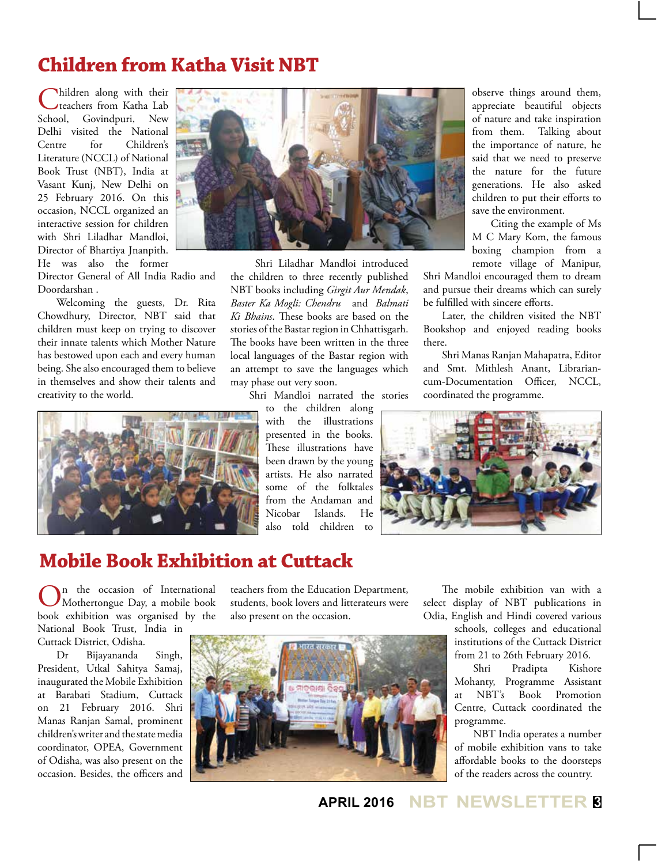## **Children from Katha Visit NBT**

Children along with their<br>
stachers from Katha Lab School, Govindpuri, New Delhi visited the National Centre for Children's Literature (NCCL) of National Book Trust (NBT), India at Vasant Kunj, New Delhi on 25 February 2016. On this occasion, NCCL organized an interactive session for children with Shri Liladhar Mandloi, Director of Bhartiya Jnanpith. He was also the former

Director General of All India Radio and Doordarshan .

Welcoming the guests, Dr. Rita Chowdhury, Director, NBT said that children must keep on trying to discover their innate talents which Mother Nature has bestowed upon each and every human being. She also encouraged them to believe in themselves and show their talents and creativity to the world.





 Shri Liladhar Mandloi introduced the children to three recently published NBT books including *Girgit Aur Mendak*, *Baster Ka Mogli: Chendru* and *Balmati Ki Bhains*. These books are based on the stories of the Bastar region in Chhattisgarh. The books have been written in the three local languages of the Bastar region with an attempt to save the languages which may phase out very soon.

Shri Mandloi narrated the stories

to the children along with the illustrations presented in the books. These illustrations have been drawn by the young artists. He also narrated some of the folktales from the Andaman and Nicobar Islands. He also told children to

observe things around them, appreciate beautiful objects of nature and take inspiration from them. Talking about the importance of nature, he said that we need to preserve the nature for the future generations. He also asked children to put their efforts to save the environment.

Citing the example of Ms M C Mary Kom, the famous boxing champion from a remote village of Manipur,

Shri Mandloi encouraged them to dream and pursue their dreams which can surely be fulfilled with sincere efforts.

Later, the children visited the NBT Bookshop and enjoyed reading books there.

Shri Manas Ranjan Mahapatra, Editor and Smt. Mithlesh Anant, Librariancum-Documentation Officer, NCCL, coordinated the programme.



#### **Mobile Book Exhibition at Cuttack**

On the occasion of International Mothertongue Day, a mobile book book exhibition was organised by the National Book Trust, India in Cuttack District, Odisha.

Dr Bijayananda Singh, President, Utkal Sahitya Samaj, inaugurated the Mobile Exhibition at Barabati Stadium, Cuttack on 21 February 2016. Shri Manas Ranjan Samal, prominent children's writer and the state media coordinator, OPEA, Government of Odisha, was also present on the occasion. Besides, the officers and

teachers from the Education Department, students, book lovers and litterateurs were also present on the occasion.



The mobile exhibition van with a select display of NBT publications in Odia, English and Hindi covered various

schools, colleges and educational institutions of the Cuttack District from 21 to 26th February 2016.

Shri Pradipta Kishore Mohanty, Programme Assistant at NBT's Book Promotion Centre, Cuttack coordinated the programme.

NBT India operates a number of mobile exhibition vans to take affordable books to the doorsteps of the readers across the country.

**APRIL 2016 NBT NEWSLETTER <sup>3</sup>**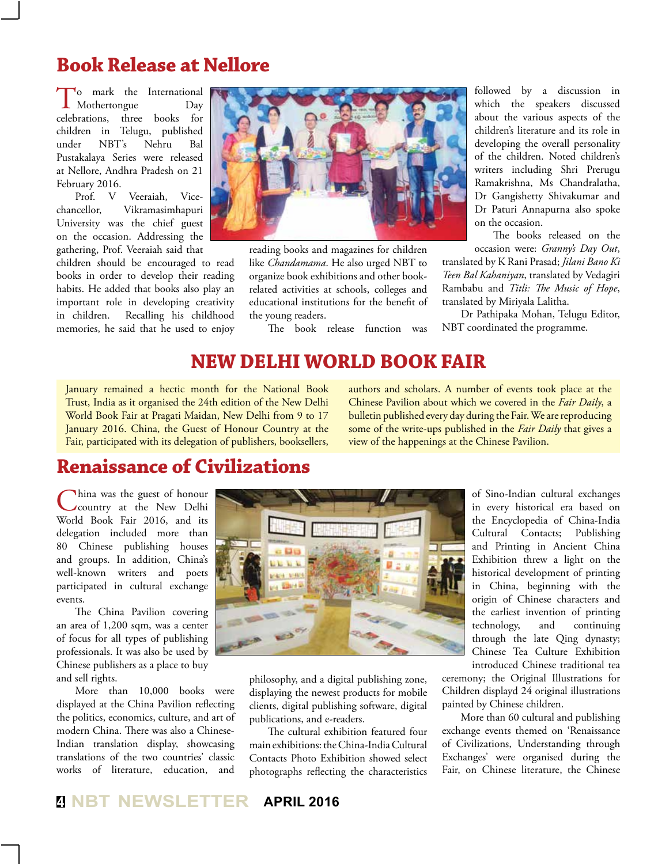#### **Book Release at Nellore**

To mark the International<br>Mothertongue Day<br>celebrations, three books for  $\blacksquare$  Mothertongue three books for children in Telugu, published under NBT's Nehru Bal Pustakalaya Series were released at Nellore, Andhra Pradesh on 21 February 2016.<br>Prof. V

V Veeraiah, Vicechancellor, Vikramasimhapuri University was the chief guest on the occasion. Addressing the gathering, Prof. Veeraiah said that

children should be encouraged to read books in order to develop their reading habits. He added that books also play an important role in developing creativity in children. Recalling his childhood memories, he said that he used to enjoy



reading books and magazines for children like *Chandamama*. He also urged NBT to organize book exhibitions and other bookrelated activities at schools, colleges and educational institutions for the benefit of the young readers.

The book release function was

followed by a discussion in which the speakers discussed about the various aspects of the children's literature and its role in developing the overall personality of the children. Noted children's writers including Shri Prerugu Ramakrishna, Ms Chandralatha, Dr Gangishetty Shivakumar and Dr Paturi Annapurna also spoke on the occasion.

The books released on the occasion were: *Granny's Day Out*,

translated by K Rani Prasad; *Jilani Bano Ki Teen Bal Kahaniyan*, translated by Vedagiri Rambabu and *Titli: The Music of Hope*, translated by Miriyala Lalitha.

Dr Pathipaka Mohan, Telugu Editor, NBT coordinated the programme.

#### **New Delhi World Book Fair**

January remained a hectic month for the National Book Trust, India as it organised the 24th edition of the New Delhi World Book Fair at Pragati Maidan, New Delhi from 9 to 17 January 2016. China, the Guest of Honour Country at the Fair, participated with its delegation of publishers, booksellers,

authors and scholars. A number of events took place at the Chinese Pavilion about which we covered in the *Fair Daily*, a bulletin published every day during the Fair. We are reproducing some of the write-ups published in the *Fair Daily* that gives a view of the happenings at the Chinese Pavilion.

# **Renaissance of Civilizations**

China was the guest of honour<br>country at the New Delhi World Book Fair 2016, and its delegation included more than 80 Chinese publishing houses and groups. In addition, China's well-known writers and poets participated in cultural exchange events.

The China Pavilion covering an area of 1,200 sqm, was a center of focus for all types of publishing professionals. It was also be used by Chinese publishers as a place to buy and sell rights.

More than 10,000 books were displayed at the China Pavilion reflecting the politics, economics, culture, and art of modern China. There was also a Chinese-Indian translation display, showcasing translations of the two countries' classic works of literature, education, and



philosophy, and a digital publishing zone, displaying the newest products for mobile clients, digital publishing software, digital publications, and e-readers.

The cultural exhibition featured four main exhibitions: the China-India Cultural Contacts Photo Exhibition showed select photographs reflecting the characteristics

of Sino-Indian cultural exchanges in every historical era based on the Encyclopedia of China-India Cultural Contacts; Publishing and Printing in Ancient China Exhibition threw a light on the historical development of printing in China, beginning with the origin of Chinese characters and the earliest invention of printing technology, and continuing through the late Qing dynasty; Chinese Tea Culture Exhibition introduced Chinese traditional tea

ceremony; the Original Illustrations for Children displayd 24 original illustrations painted by Chinese children.

More than 60 cultural and publishing exchange events themed on 'Renaissance of Civilizations, Understanding through Exchanges' were organised during the Fair, on Chinese literature, the Chinese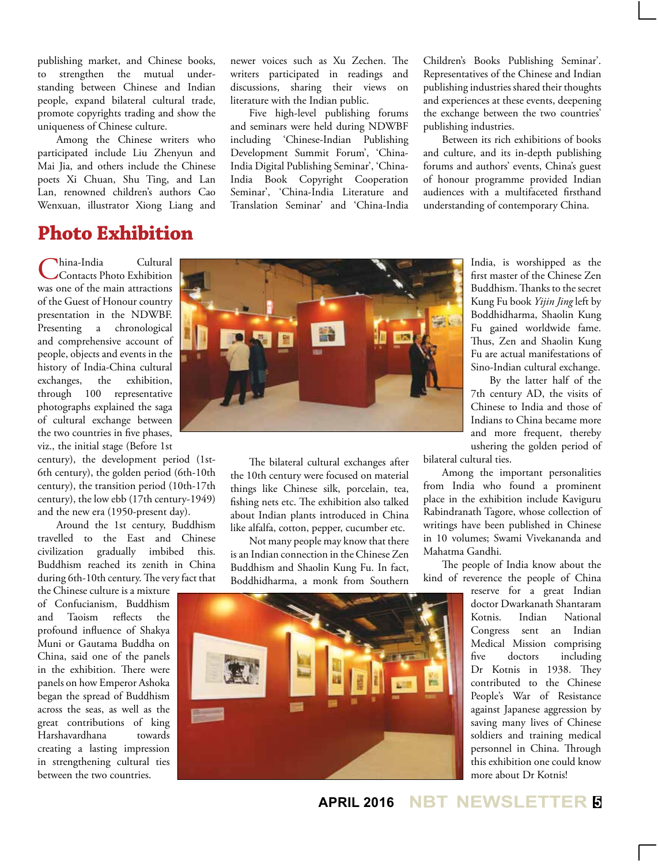publishing market, and Chinese books, to strengthen the mutual understanding between Chinese and Indian people, expand bilateral cultural trade, promote copyrights trading and show the uniqueness of Chinese culture.

Among the Chinese writers who participated include Liu Zhenyun and Mai Jia, and others include the Chinese poets Xi Chuan, Shu Ting, and Lan Lan, renowned children's authors Cao Wenxuan, illustrator Xiong Liang and

#### **Photo Exhibition**

China-India Cultural Contacts Photo Exhibition was one of the main attractions of the Guest of Honour country presentation in the NDWBF. Presenting a chronological and comprehensive account of people, objects and events in the history of India-China cultural exchanges, the exhibition, through 100 representative photographs explained the saga of cultural exchange between the two countries in five phases, viz., the initial stage (Before 1st

century), the development period (1st-6th century), the golden period (6th-10th century), the transition period (10th-17th century), the low ebb (17th century-1949) and the new era (1950-present day).

Around the 1st century, Buddhism travelled to the East and Chinese civilization gradually imbibed this. Buddhism reached its zenith in China during 6th-10th century. The very fact that the Chinese culture is a mixture

of Confucianism, Buddhism and Taoism reflects the profound influence of Shakya Muni or Gautama Buddha on China, said one of the panels in the exhibition. There were panels on how Emperor Ashoka began the spread of Buddhism across the seas, as well as the great contributions of king Harshavardhana towards creating a lasting impression in strengthening cultural ties between the two countries.

newer voices such as Xu Zechen. The writers participated in readings and discussions, sharing their views on literature with the Indian public.

Five high-level publishing forums and seminars were held during NDWBF including 'Chinese-Indian Publishing Development Summit Forum', 'China-India Digital Publishing Seminar', 'China-India Book Copyright Cooperation Seminar', 'China-India Literature and Translation Seminar' and 'China-India

Children's Books Publishing Seminar'. Representatives of the Chinese and Indian publishing industries shared their thoughts and experiences at these events, deepening the exchange between the two countries' publishing industries.

Between its rich exhibitions of books and culture, and its in-depth publishing forums and authors' events, China's guest of honour programme provided Indian audiences with a multifaceted firsthand understanding of contemporary China.



The bilateral cultural exchanges after the 10th century were focused on material things like Chinese silk, porcelain, tea, fishing nets etc. The exhibition also talked about Indian plants introduced in China like alfalfa, cotton, pepper, cucumber etc.

Not many people may know that there is an Indian connection in the Chinese Zen Buddhism and Shaolin Kung Fu. In fact, Boddhidharma, a monk from Southern

India, is worshipped as the first master of the Chinese Zen Buddhism. Thanks to the secret Kung Fu book *Yijin Jing* left by Boddhidharma, Shaolin Kung Fu gained worldwide fame. Thus, Zen and Shaolin Kung Fu are actual manifestations of Sino-Indian cultural exchange.

By the latter half of the 7th century AD, the visits of Chinese to India and those of Indians to China became more and more frequent, thereby ushering the golden period of

bilateral cultural ties.

Among the important personalities from India who found a prominent place in the exhibition include Kaviguru Rabindranath Tagore, whose collection of writings have been published in Chinese in 10 volumes; Swami Vivekananda and Mahatma Gandhi.

The people of India know about the kind of reverence the people of China

> reserve for a great Indian doctor Dwarkanath Shantaram Kotnis. Indian National Congress sent an Indian Medical Mission comprising five doctors including Dr Kotnis in 1938. They contributed to the Chinese People's War of Resistance against Japanese aggression by saving many lives of Chinese soldiers and training medical personnel in China. Through this exhibition one could know more about Dr Kotnis!

**APRIL 2016 NBT NEWSLETTER <sup>5</sup>**

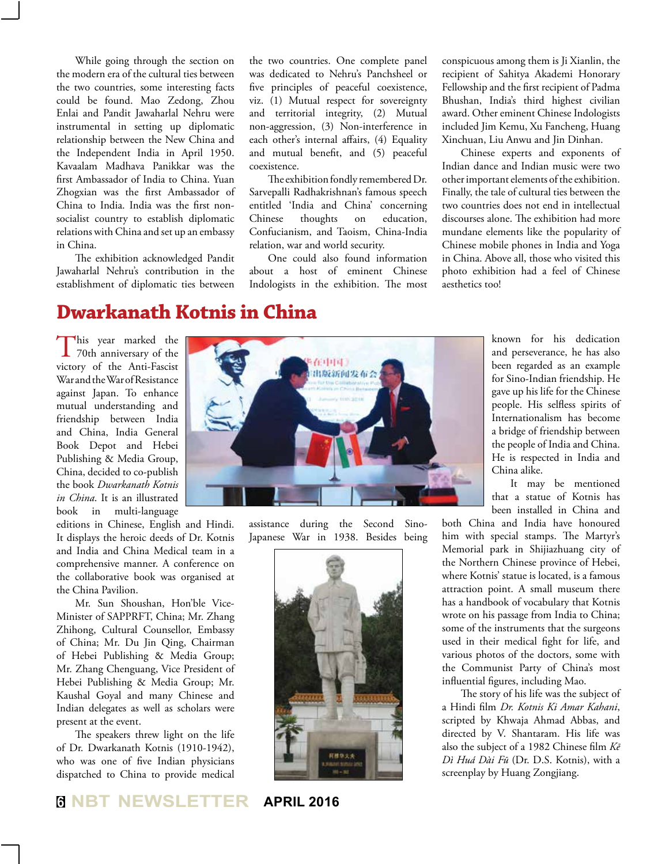While going through the section on the modern era of the cultural ties between the two countries, some interesting facts could be found. Mao Zedong, Zhou Enlai and Pandit Jawaharlal Nehru were instrumental in setting up diplomatic relationship between the New China and the Independent India in April 1950. Kavaalam Madhava Panikkar was the first Ambassador of India to China. Yuan Zhogxian was the first Ambassador of China to India. India was the first nonsocialist country to establish diplomatic relations with China and set up an embassy in China.

The exhibition acknowledged Pandit Jawaharlal Nehru's contribution in the establishment of diplomatic ties between

the two countries. One complete panel was dedicated to Nehru's Panchsheel or five principles of peaceful coexistence, viz. (1) Mutual respect for sovereignty and territorial integrity, (2) Mutual non-aggression, (3) Non-interference in each other's internal affairs, (4) Equality and mutual benefit, and (5) peaceful coexistence.

The exhibition fondly remembered Dr. Sarvepalli Radhakrishnan's famous speech entitled 'India and China' concerning Chinese thoughts on education, Confucianism, and Taoism, China-India relation, war and world security.

One could also found information about a host of eminent Chinese Indologists in the exhibition. The most

conspicuous among them is Ji Xianlin, the recipient of Sahitya Akademi Honorary Fellowship and the first recipient of Padma Bhushan, India's third highest civilian award. Other eminent Chinese Indologists included Jim Kemu, Xu Fancheng, Huang Xinchuan, Liu Anwu and Jin Dinhan.

Chinese experts and exponents of Indian dance and Indian music were two other important elements of the exhibition. Finally, the tale of cultural ties between the two countries does not end in intellectual discourses alone. The exhibition had more mundane elements like the popularity of Chinese mobile phones in India and Yoga in China. Above all, those who visited this photo exhibition had a feel of Chinese aesthetics too!

#### **Dwarkanath Kotnis in China**

This year marked the 70th anniversary of the victory of the Anti-Fascist War and the War of Resistance against Japan. To enhance mutual understanding and friendship between India and China, India General Book Depot and Hebei Publishing & Media Group, China, decided to co-publish the book *Dwarkanath Kotnis in China*. It is an illustrated book in multi-language

editions in Chinese, English and Hindi. It displays the heroic deeds of Dr. Kotnis and India and China Medical team in a comprehensive manner. A conference on the collaborative book was organised at the China Pavilion.

Mr. Sun Shoushan, Hon'ble Vice-Minister of SAPPRFT, China; Mr. Zhang Zhihong, Cultural Counsellor, Embassy of China; Mr. Du Jin Qing, Chairman of Hebei Publishing & Media Group; Mr. Zhang Chenguang, Vice President of Hebei Publishing & Media Group; Mr. Kaushal Goyal and many Chinese and Indian delegates as well as scholars were present at the event.

The speakers threw light on the life of Dr. Dwarkanath Kotnis (1910-1942), who was one of five Indian physicians dispatched to China to provide medical



assistance during the Second Sino-Japanese War in 1938. Besides being



known for his dedication and perseverance, he has also been regarded as an example for Sino-Indian friendship. He gave up his life for the Chinese people. His selfless spirits of Internationalism has become a bridge of friendship between the people of India and China. He is respected in India and China alike.

It may be mentioned that a statue of Kotnis has been installed in China and

both China and India have honoured him with special stamps. The Martyr's Memorial park in Shijiazhuang city of the Northern Chinese province of Hebei, where Kotnis' statue is located, is a famous attraction point. A small museum there has a handbook of vocabulary that Kotnis wrote on his passage from India to China; some of the instruments that the surgeons used in their medical fight for life, and various photos of the doctors, some with the Communist Party of China's most influential figures, including Mao.

The story of his life was the subject of a Hindi film *Dr. Kotnis Ki Amar Kahani*, scripted by Khwaja Ahmad Abbas, and directed by V. Shantaram. His life was also the subject of a 1982 Chinese film *Kē Dì Huá Dài Fū* (Dr. D.S. Kotnis), with a screenplay by Huang Zongjiang.

#### **<sup>6</sup> NBT NEWSLETTER APRIL 2016**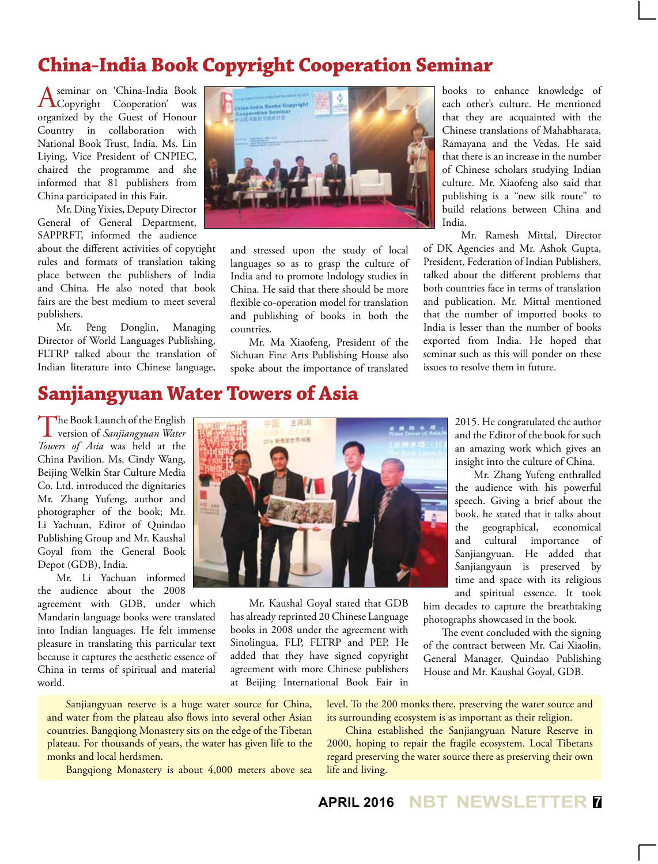# **China-India Book Copyright Cooperation Seminar**

A seminar on 'China-India Book Copyright Cooperation' was organized by the Guest of Honour Country in collaboration with National Book Trust, India. Ms. Lin Liying, Vice President of CNPIEC, chaired the programme and she informed that 81 publishers from China participated in this Fair.

Mr. Ding Yixies, Deputy Director General of General Department, SAPPRFT, informed the audience

about the different activities of copyright rules and formats of translation taking place between the publishers of India and China. He also noted that book fairs are the best medium to meet several publishers.

Mr. Peng Donglin, Managing Director of World Languages Publishing, FLTRP talked about the translation of Indian literature into Chinese language,



and stressed upon the study of local languages so as to grasp the culture of India and to promote Indology studies in China. He said that there should be more flexible co-operation model for translation and publishing of books in both the countries.

Mr. Ma Xiaofeng, President of the Sichuan Fine Arts Publishing House also spoke about the importance of translated

books to enhance knowledge of each other's culture. He mentioned that they are acquainted with the Chinese translations of Mahabharata, Ramayana and the Vedas. He said that there is an increase in the number of Chinese scholars studying Indian culture. Mr. Xiaofeng also said that publishing is a "new silk route" to build relations between China and India.

Mr. Ramesh Mittal, Director of DK Agencies and Mr. Ashok Gupta, President, Federation of Indian Publishers, talked about the different problems that both countries face in terms of translation and publication. Mr. Mittal mentioned that the number of imported books to India is lesser than the number of books exported from India. He hoped that seminar such as this will ponder on these issues to resolve them in future.

# **Sanjiangyuan Water Towers of Asia**

The Book Launch of the English version of *Sanjiangyuan Water Towers of Asia* was held at the China Pavilion. Ms. Cindy Wang, Beijing Welkin Star Culture Media Co. Ltd. introduced the dignitaries Mr. Zhang Yufeng, author and photographer of the book; Mr. Li Yachuan, Editor of Quindao Publishing Group and Mr. Kaushal Goyal from the General Book Depot (GDB), India.

Mr. Li Yachuan informed the audience about the 2008

agreement with GDB, under which Mandarin language books were translated into Indian languages. He felt immense pleasure in translating this particular text because it captures the aesthetic essence of China in terms of spiritual and material world.

Sanjiangyuan reserve is a huge water source for China, and water from the plateau also flows into several other Asian countries. Bangqiong Monastery sits on the edge of the Tibetan plateau. For thousands of years, the water has given life to the monks and local herdsmen.

Bangqiong Monastery is about 4,000 meters above sea



Mr. Kaushal Goyal stated that GDB has already reprinted 20 Chinese Language books in 2008 under the agreement with Sinolingua, FLP, FLTRP and PEP. He added that they have signed copyright agreement with more Chinese publishers at Beijing International Book Fair in

2015. He congratulated the author and the Editor of the book for such an amazing work which gives an insight into the culture of China.

Mr. Zhang Yufeng enthralled the audience with his powerful speech. Giving a brief about the book, he stated that it talks about the geographical, economical and cultural importance of Sanjiangyuan. He added that Sanjiangyaun is preserved by time and space with its religious and spiritual essence. It took

him decades to capture the breathtaking photographs showcased in the book.

The event concluded with the signing of the contract between Mr. Cai Xiaolin, General Manager, Quindao Publishing House and Mr. Kaushal Goyal, GDB.

level. To the 200 monks there, preserving the water source and its surrounding ecosystem is as important as their religion.

China established the Sanjiangyuan Nature Reserve in 2000, hoping to repair the fragile ecosystem. Local Tibetans regard preserving the water source there as preserving their own life and living.